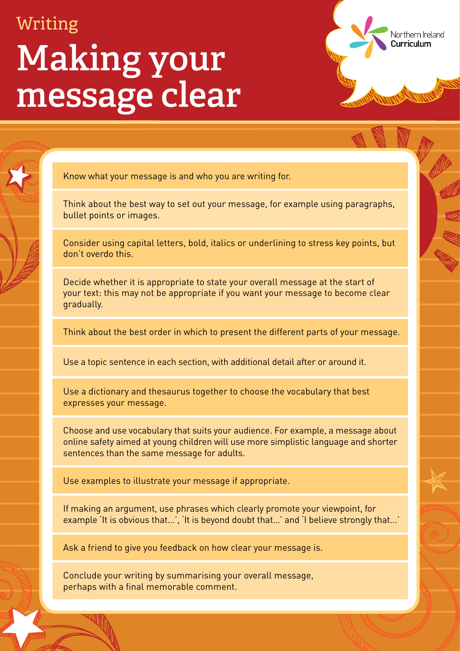## Writing **Making your message clear**

Know what your message is and who you are writing for.

Think about the best way to set out your message, for example using paragraphs, bullet points or images.

Northern Ireland

Curriculum

Consider using capital letters, bold, italics or underlining to stress key points, but don't overdo this.

Decide whether it is appropriate to state your overall message at the start of your text: this may not be appropriate if you want your message to become clear gradually.

Think about the best order in which to present the different parts of your message.

Use a topic sentence in each section, with additional detail after or around it.

Use a dictionary and thesaurus together to choose the vocabulary that best expresses your message.

Choose and use vocabulary that suits your audience. For example, a message about online safety aimed at young children will use more simplistic language and shorter sentences than the same message for adults.

Use examples to illustrate your message if appropriate.

If making an argument, use phrases which clearly promote your viewpoint, for example 'It is obvious that...', 'It is beyond doubt that…' and 'I believe strongly that...'

Ask a friend to give you feedback on how clear your message is.

Conclude your writing by summarising your overall message, perhaps with a final memorable comment.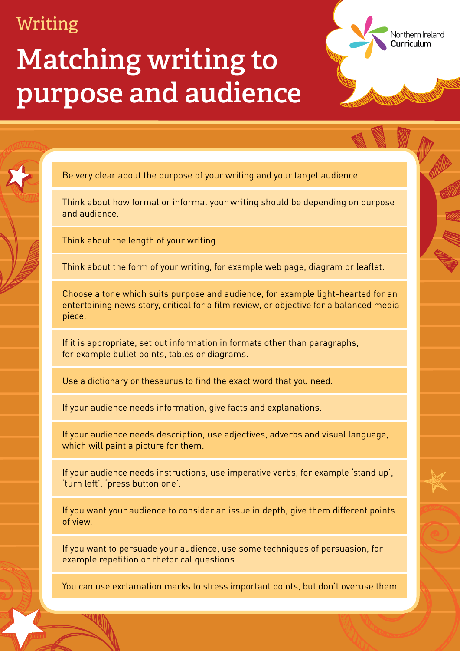#### **Matching writing to purpose and audience**

Be very clear about the purpose of your writing and your target audience.

Think about how formal or informal your writing should be depending on purpose and audience.

Northern Ireland

Curriculum

Think about the length of your writing.

Think about the form of your writing, for example web page, diagram or leaflet.

If your audience needs description, use adjectives, adverbs and visual language, which will paint a picture for them.

Choose a tone which suits purpose and audience, for example light-hearted for an entertaining news story, critical for a film review, or objective for a balanced media piece.

If it is appropriate, set out information in formats other than paragraphs,

for example bullet points, tables or diagrams.

Use a dictionary or thesaurus to find the exact word that you need.

If your audience needs information, give facts and explanations.

If your audience needs instructions, use imperative verbs, for example 'stand up', 'turn left', 'press button one'.

If you want your audience to consider an issue in depth, give them different points of view.

If you want to persuade your audience, use some techniques of persuasion, for example repetition or rhetorical questions.

You can use exclamation marks to stress important points, but don't overuse them.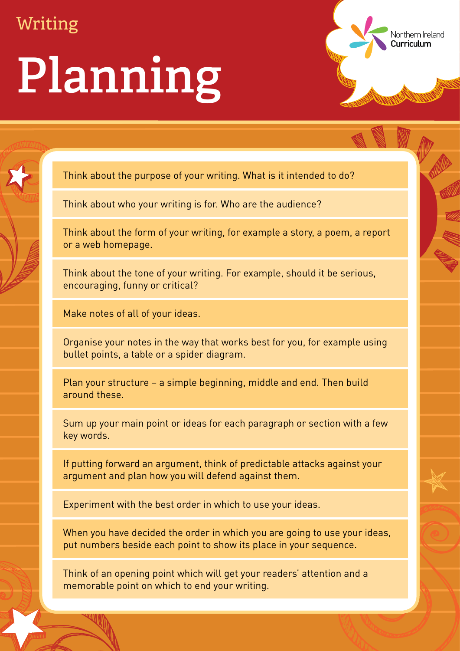# **Planning**

Think about the purpose of your writing. What is it intended to do?

Think about who your writing is for. Who are the audience?

Think about the form of your writing, for example a story, a poem, a report or a web homepage.

Northern Ireland

Curriculum

Think about the tone of your writing. For example, should it be serious, encouraging, funny or critical?

Make notes of all of your ideas.

Organise your notes in the way that works best for you, for example using

bullet points, a table or a spider diagram.

Plan your structure – a simple beginning, middle and end. Then build around these.

Sum up your main point or ideas for each paragraph or section with a few key words.

If putting forward an argument, think of predictable attacks against your argument and plan how you will defend against them.

Experiment with the best order in which to use your ideas.

When you have decided the order in which you are going to use your ideas, put numbers beside each point to show its place in your sequence.

Think of an opening point which will get your readers' attention and a memorable point on which to end your writing.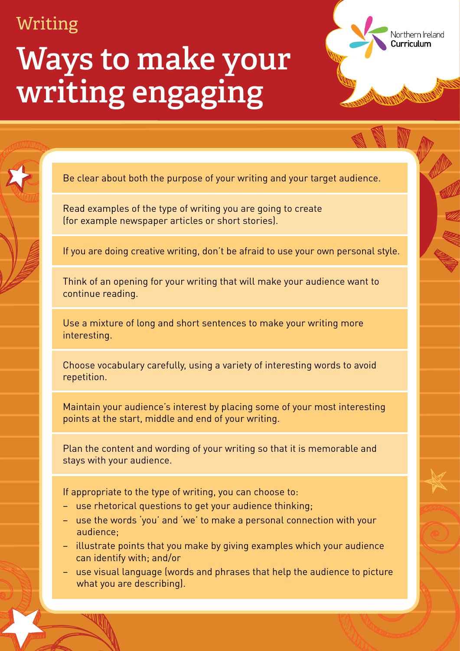### **Ways to make your writing engaging**

Be clear about both the purpose of your writing and your target audience.

Northern Ireland

Curriculum

Read examples of the type of writing you are going to create (for example newspaper articles or short stories).

If you are doing creative writing, don't be afraid to use your own personal style.

Think of an opening for your writing that will make your audience want to continue reading.

Use a mixture of long and short sentences to make your writing more interesting.

Choose vocabulary carefully, using a variety of interesting words to avoid repetition.

Maintain your audience's interest by placing some of your most interesting points at the start, middle and end of your writing.

Plan the content and wording of your writing so that it is memorable and stays with your audience.

If appropriate to the type of writing, you can choose to:

- use rhetorical questions to get your audience thinking;
- use the words 'you' and 'we' to make a personal connection with your audience;
- illustrate points that you make by giving examples which your audience can identify with; and/or
- use visual language (words and phrases that help the audience to picture what you are describing).